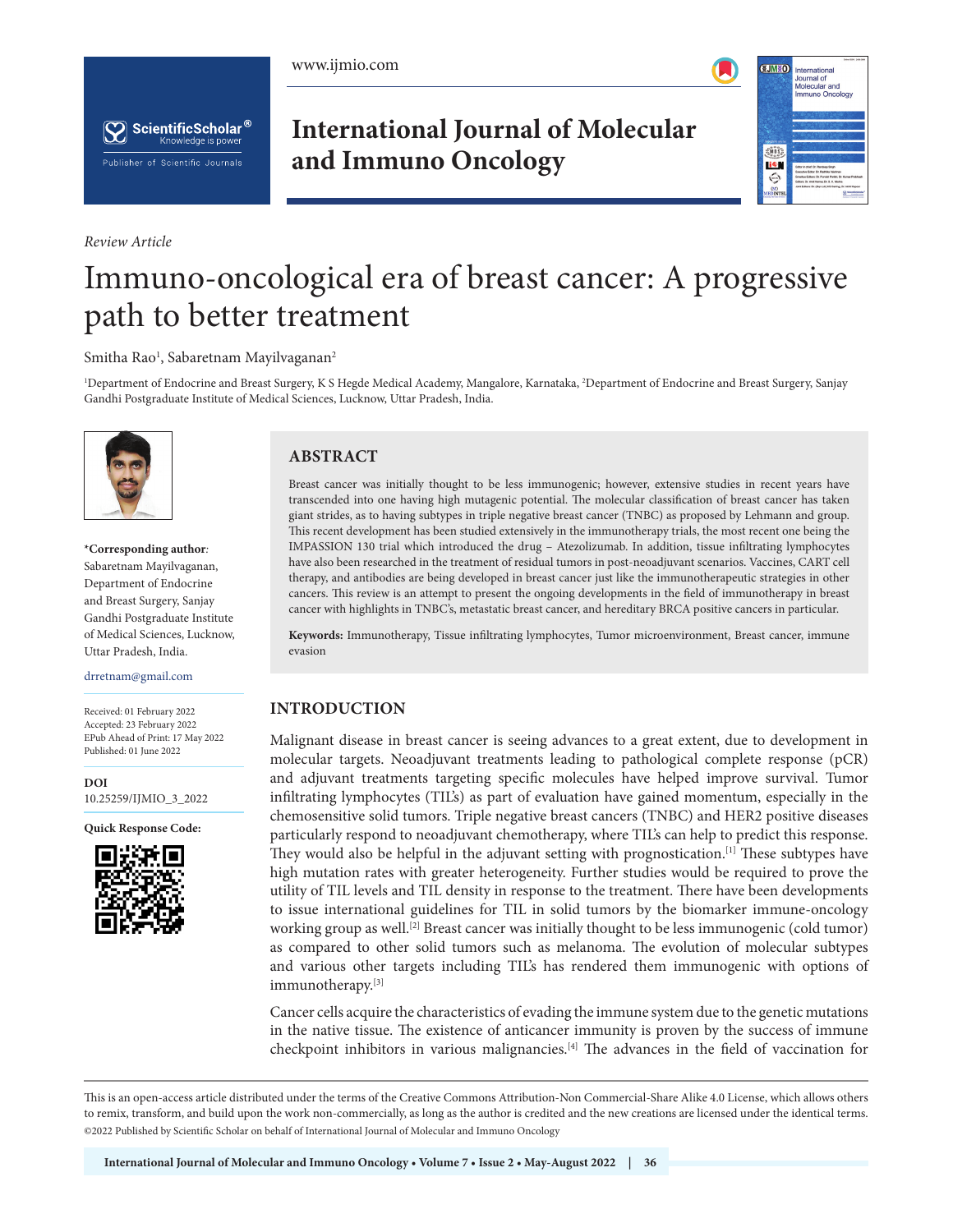





*Review Article*

**International Journal of Molecular and Immuno Oncology**



# Immuno-oncological era of breast cancer: A progressive path to better treatment

#### Smitha Rao $^{\rm l}$ , Sabaretnam Mayilvaganan $^{\rm 2}$

1 Department of Endocrine and Breast Surgery, K S Hegde Medical Academy, Mangalore, Karnataka, 2 Department of Endocrine and Breast Surgery, Sanjay Gandhi Postgraduate Institute of Medical Sciences, Lucknow, Uttar Pradesh, India.



**\*Corresponding author***:* Sabaretnam Mayilvaganan, Department of Endocrine and Breast Surgery, Sanjay Gandhi Postgraduate Institute of Medical Sciences, Lucknow, Uttar Pradesh, India.

drretnam@gmail.com

Received: 01 February 2022 Accepted: 23 February 2022 EPub Ahead of Print: 17 May 2022 Published: 01 June 2022

**[DOI](https://dx.doi.org/10.25259/IJMIO_3_2022)** [10.25259/IJMIO\\_3\\_2022](https://dx.doi.org/10.25259/IJMIO_3_2022)

**Quick Response Code:**



# **ABSTRACT**

Breast cancer was initially thought to be less immunogenic; however, extensive studies in recent years have transcended into one having high mutagenic potential. The molecular classification of breast cancer has taken giant strides, as to having subtypes in triple negative breast cancer (TNBC) as proposed by Lehmann and group. This recent development has been studied extensively in the immunotherapy trials, the most recent one being the IMPASSION 130 trial which introduced the drug – Atezolizumab. In addition, tissue infiltrating lymphocytes have also been researched in the treatment of residual tumors in post-neoadjuvant scenarios. Vaccines, CART cell therapy, and antibodies are being developed in breast cancer just like the immunotherapeutic strategies in other cancers. This review is an attempt to present the ongoing developments in the field of immunotherapy in breast cancer with highlights in TNBC's, metastatic breast cancer, and hereditary BRCA positive cancers in particular.

**Keywords:** Immunotherapy, Tissue infiltrating lymphocytes, Tumor microenvironment, Breast cancer, immune evasion

## **INTRODUCTION**

Malignant disease in breast cancer is seeing advances to a great extent, due to development in molecular targets. Neoadjuvant treatments leading to pathological complete response (pCR) and adjuvant treatments targeting specific molecules have helped improve survival. Tumor infiltrating lymphocytes (TIL's) as part of evaluation have gained momentum, especially in the chemosensitive solid tumors. Triple negative breast cancers (TNBC) and HER2 positive diseases particularly respond to neoadjuvant chemotherapy, where TIL's can help to predict this response. They would also be helpful in the adjuvant setting with prognostication.[1] These subtypes have high mutation rates with greater heterogeneity. Further studies would be required to prove the utility of TIL levels and TIL density in response to the treatment. There have been developments to issue international guidelines for TIL in solid tumors by the biomarker immune-oncology working group as well.<sup>[2]</sup> Breast cancer was initially thought to be less immunogenic (cold tumor) as compared to other solid tumors such as melanoma. The evolution of molecular subtypes and various other targets including TIL's has rendered them immunogenic with options of immunotherapy.[3]

Cancer cells acquire the characteristics of evading the immune system due to the genetic mutations in the native tissue. The existence of anticancer immunity is proven by the success of immune checkpoint inhibitors in various malignancies.[4] The advances in the field of vaccination for

This is an open-access article distributed under the terms of the Creative Commons Attribution-Non Commercial-Share Alike 4.0 License, which allows others to remix, transform, and build upon the work non-commercially, as long as the author is credited and the new creations are licensed under the identical terms. ©2022 Published by Scientific Scholar on behalf of International Journal of Molecular and Immuno Oncology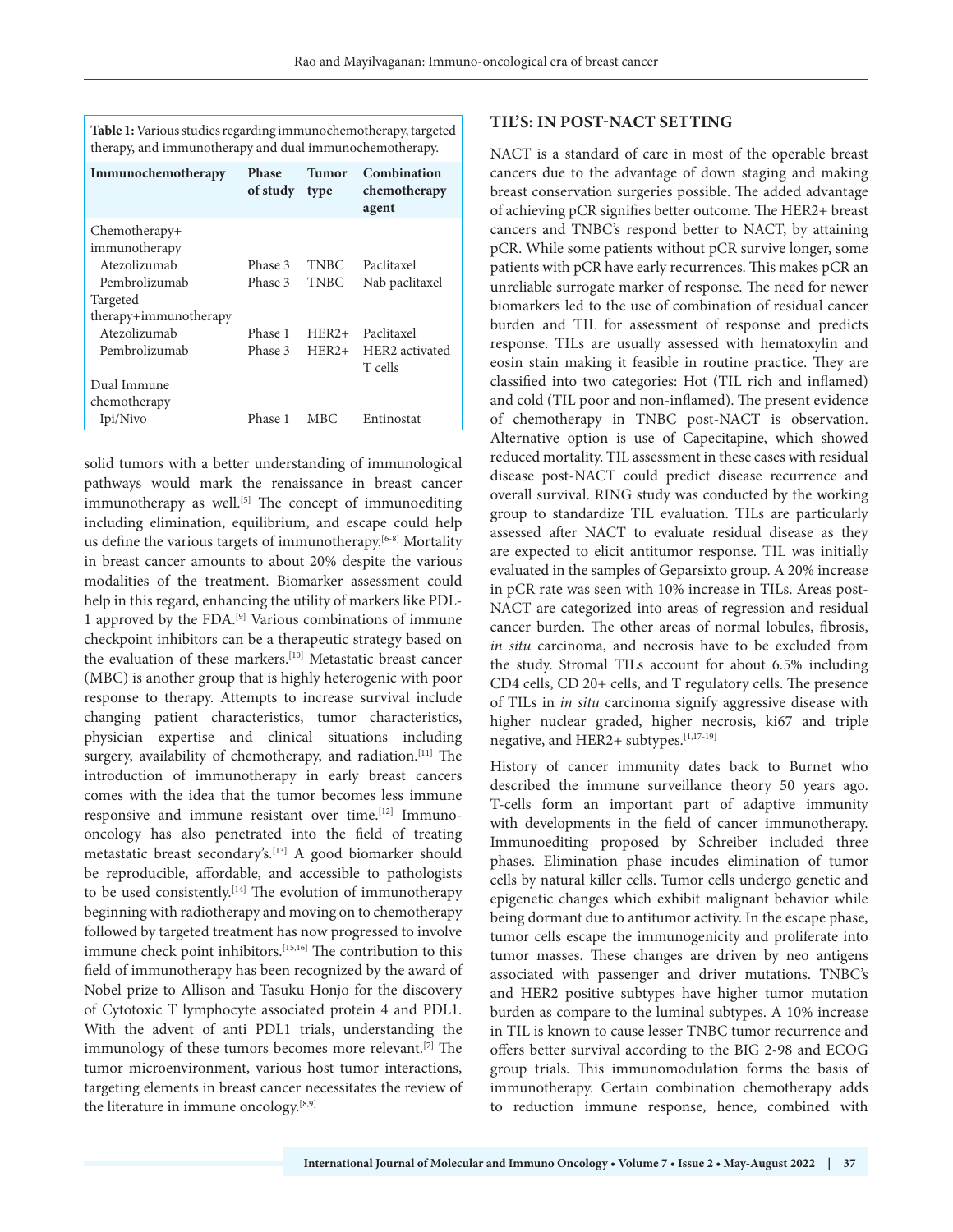|  | Table 1: Various studies regarding immunochemotherapy, targeted |
|--|-----------------------------------------------------------------|
|  | therapy, and immunotherapy and dual immunochemotherapy.         |

| Immunochemotherapy    | <b>Phase</b><br>of study | Tumor<br>type | Combination<br>chemotherapy<br>agent |
|-----------------------|--------------------------|---------------|--------------------------------------|
| Chemotherapy+         |                          |               |                                      |
| immunotherapy         |                          |               |                                      |
| Atezolizumab          | Phase 3                  | <b>TNBC</b>   | Paclitaxel                           |
| Pembrolizumab         | Phase 3                  | <b>TNBC</b>   | Nab paclitaxel                       |
| Targeted              |                          |               |                                      |
| therapy+immunotherapy |                          |               |                                      |
| Atezolizumab          | Phase 1                  | $HER2+$       | Paclitaxel                           |
| Pembrolizumab         | Phase 3                  | $HER2+$       | HER2 activated<br>T cells            |
| Dual Immune           |                          |               |                                      |
| chemotherapy          |                          |               |                                      |
| Ipi/Nivo              | Phase 1                  | MBC.          | Entinostat                           |

solid tumors with a better understanding of immunological pathways would mark the renaissance in breast cancer immunotherapy as well.<sup>[5]</sup> The concept of immunoediting including elimination, equilibrium, and escape could help us define the various targets of immunotherapy.<sup>[6-8]</sup> Mortality in breast cancer amounts to about 20% despite the various modalities of the treatment. Biomarker assessment could help in this regard, enhancing the utility of markers like PDL-1 approved by the FDA.[9] Various combinations of immune checkpoint inhibitors can be a therapeutic strategy based on the evaluation of these markers.<sup>[10]</sup> Metastatic breast cancer (MBC) is another group that is highly heterogenic with poor response to therapy. Attempts to increase survival include changing patient characteristics, tumor characteristics, physician expertise and clinical situations including surgery, availability of chemotherapy, and radiation.<sup>[11]</sup> The introduction of immunotherapy in early breast cancers comes with the idea that the tumor becomes less immune responsive and immune resistant over time.[12] Immunooncology has also penetrated into the field of treating metastatic breast secondary's.[13] A good biomarker should be reproducible, affordable, and accessible to pathologists to be used consistently.<sup>[14]</sup> The evolution of immunotherapy beginning with radiotherapy and moving on to chemotherapy followed by targeted treatment has now progressed to involve immune check point inhibitors.[15,16] The contribution to this field of immunotherapy has been recognized by the award of Nobel prize to Allison and Tasuku Honjo for the discovery of Cytotoxic T lymphocyte associated protein 4 and PDL1. With the advent of anti PDL1 trials, understanding the immunology of these tumors becomes more relevant.<sup>[7]</sup> The tumor microenvironment, various host tumor interactions, targeting elements in breast cancer necessitates the review of the literature in immune oncology.[8,9]

## **TIL'S: IN POST-NACT SETTING**

NACT is a standard of care in most of the operable breast cancers due to the advantage of down staging and making breast conservation surgeries possible. The added advantage of achieving pCR signifies better outcome. The HER2+ breast cancers and TNBC's respond better to NACT, by attaining pCR. While some patients without pCR survive longer, some patients with pCR have early recurrences. This makes pCR an unreliable surrogate marker of response. The need for newer biomarkers led to the use of combination of residual cancer burden and TIL for assessment of response and predicts response. TILs are usually assessed with hematoxylin and eosin stain making it feasible in routine practice. They are classified into two categories: Hot (TIL rich and inflamed) and cold (TIL poor and non-inflamed). The present evidence of chemotherapy in TNBC post-NACT is observation. Alternative option is use of Capecitapine, which showed reduced mortality. TIL assessment in these cases with residual disease post-NACT could predict disease recurrence and overall survival. RING study was conducted by the working group to standardize TIL evaluation. TILs are particularly assessed after NACT to evaluate residual disease as they are expected to elicit antitumor response. TIL was initially evaluated in the samples of Geparsixto group. A 20% increase in pCR rate was seen with 10% increase in TILs. Areas post-NACT are categorized into areas of regression and residual cancer burden. The other areas of normal lobules, fibrosis, *in situ* carcinoma, and necrosis have to be excluded from the study. Stromal TILs account for about 6.5% including CD4 cells, CD 20+ cells, and T regulatory cells. The presence of TILs in *in situ* carcinoma signify aggressive disease with higher nuclear graded, higher necrosis, ki67 and triple negative, and HER2+ subtypes.[1,17-19]

History of cancer immunity dates back to Burnet who described the immune surveillance theory 50 years ago. T-cells form an important part of adaptive immunity with developments in the field of cancer immunotherapy. Immunoediting proposed by Schreiber included three phases. Elimination phase incudes elimination of tumor cells by natural killer cells. Tumor cells undergo genetic and epigenetic changes which exhibit malignant behavior while being dormant due to antitumor activity. In the escape phase, tumor cells escape the immunogenicity and proliferate into tumor masses. These changes are driven by neo antigens associated with passenger and driver mutations. TNBC's and HER2 positive subtypes have higher tumor mutation burden as compare to the luminal subtypes. A 10% increase in TIL is known to cause lesser TNBC tumor recurrence and offers better survival according to the BIG 2-98 and ECOG group trials. This immunomodulation forms the basis of immunotherapy. Certain combination chemotherapy adds to reduction immune response, hence, combined with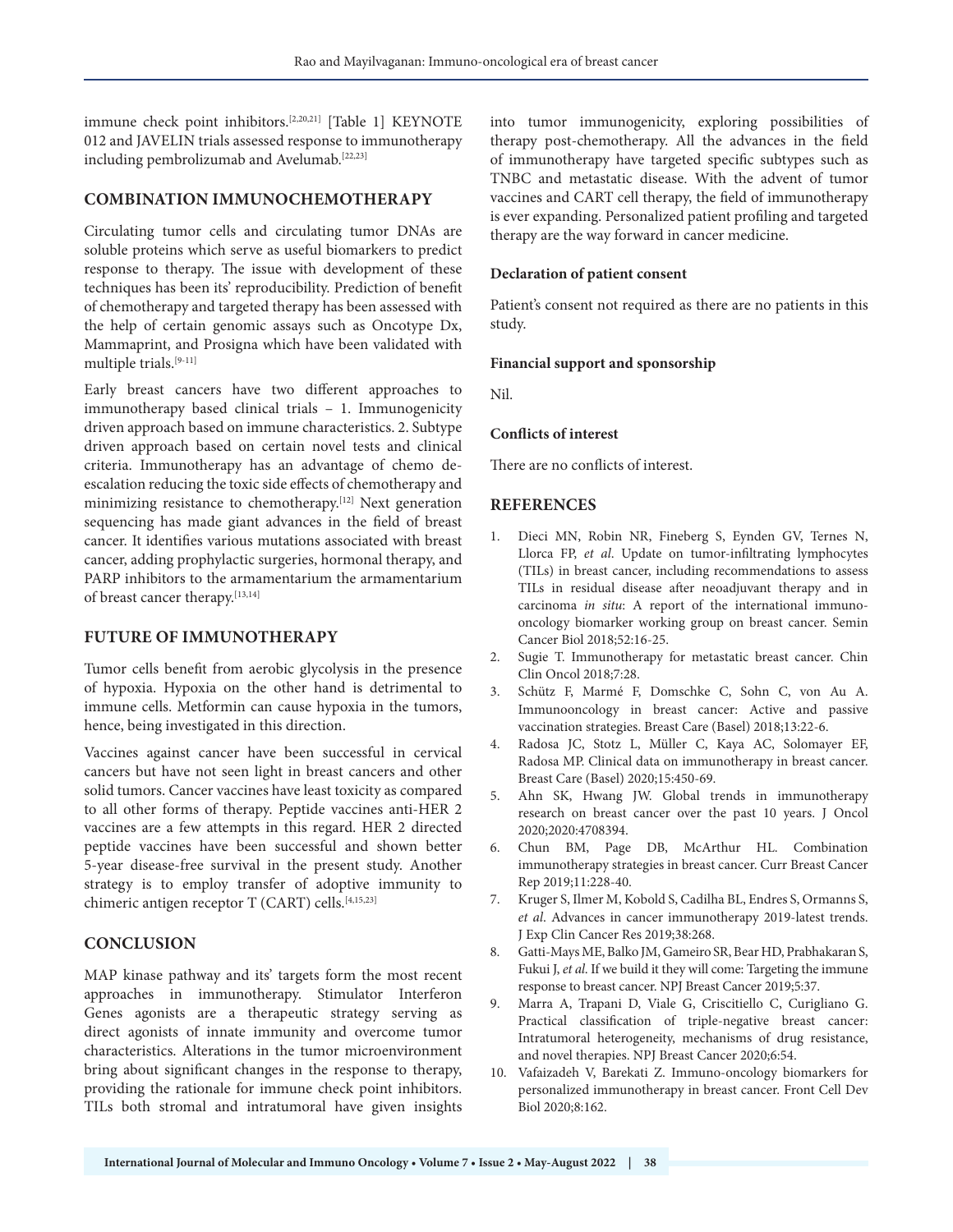immune check point inhibitors.[2,20,21] [Table 1] KEYNOTE 012 and JAVELIN trials assessed response to immunotherapy including pembrolizumab and Avelumab.[22,23]

## **COMBINATION IMMUNOCHEMOTHERAPY**

Circulating tumor cells and circulating tumor DNAs are soluble proteins which serve as useful biomarkers to predict response to therapy. The issue with development of these techniques has been its' reproducibility. Prediction of benefit of chemotherapy and targeted therapy has been assessed with the help of certain genomic assays such as Oncotype Dx, Mammaprint, and Prosigna which have been validated with multiple trials.[9-11]

Early breast cancers have two different approaches to immunotherapy based clinical trials – 1. Immunogenicity driven approach based on immune characteristics. 2. Subtype driven approach based on certain novel tests and clinical criteria. Immunotherapy has an advantage of chemo deescalation reducing the toxic side effects of chemotherapy and minimizing resistance to chemotherapy.[12] Next generation sequencing has made giant advances in the field of breast cancer. It identifies various mutations associated with breast cancer, adding prophylactic surgeries, hormonal therapy, and PARP inhibitors to the armamentarium the armamentarium of breast cancer therapy.[13,14]

### **FUTURE OF IMMUNOTHERAPY**

Tumor cells benefit from aerobic glycolysis in the presence of hypoxia. Hypoxia on the other hand is detrimental to immune cells. Metformin can cause hypoxia in the tumors, hence, being investigated in this direction.

Vaccines against cancer have been successful in cervical cancers but have not seen light in breast cancers and other solid tumors. Cancer vaccines have least toxicity as compared to all other forms of therapy. Peptide vaccines anti-HER 2 vaccines are a few attempts in this regard. HER 2 directed peptide vaccines have been successful and shown better 5-year disease-free survival in the present study. Another strategy is to employ transfer of adoptive immunity to chimeric antigen receptor T (CART) cells.[4,15,23]

### **CONCLUSION**

MAP kinase pathway and its' targets form the most recent approaches in immunotherapy. Stimulator Interferon Genes agonists are a therapeutic strategy serving as direct agonists of innate immunity and overcome tumor characteristics. Alterations in the tumor microenvironment bring about significant changes in the response to therapy, providing the rationale for immune check point inhibitors. TILs both stromal and intratumoral have given insights

into tumor immunogenicity, exploring possibilities of therapy post-chemotherapy. All the advances in the field of immunotherapy have targeted specific subtypes such as TNBC and metastatic disease. With the advent of tumor vaccines and CART cell therapy, the field of immunotherapy is ever expanding. Personalized patient profiling and targeted therapy are the way forward in cancer medicine.

#### **Declaration of patient consent**

Patient's consent not required as there are no patients in this study.

#### **Financial support and sponsorship**

Nil.

#### **Conflicts of interest**

There are no conflicts of interest.

## **REFERENCES**

- 1. Dieci MN, Robin NR, Fineberg S, Eynden GV, Ternes N, Llorca FP, *et al*. Update on tumor-infiltrating lymphocytes (TILs) in breast cancer, including recommendations to assess TILs in residual disease after neoadjuvant therapy and in carcinoma *in situ*: A report of the international immunooncology biomarker working group on breast cancer. Semin Cancer Biol 2018;52:16-25.
- 2. Sugie T. Immunotherapy for metastatic breast cancer. Chin Clin Oncol 2018;7:28.
- 3. Schütz F, Marmé F, Domschke C, Sohn C, von Au A. Immunooncology in breast cancer: Active and passive vaccination strategies. Breast Care (Basel) 2018;13:22-6.
- 4. Radosa JC, Stotz L, Müller C, Kaya AC, Solomayer EF, Radosa MP. Clinical data on immunotherapy in breast cancer. Breast Care (Basel) 2020;15:450-69.
- 5. Ahn SK, Hwang JW. Global trends in immunotherapy research on breast cancer over the past 10 years. J Oncol 2020;2020:4708394.
- 6. Chun BM, Page DB, McArthur HL. Combination immunotherapy strategies in breast cancer. Curr Breast Cancer Rep 2019;11:228-40.
- 7. Kruger S, Ilmer M, Kobold S, Cadilha BL, Endres S, Ormanns S, *et al*. Advances in cancer immunotherapy 2019-latest trends. J Exp Clin Cancer Res 2019;38:268.
- 8. Gatti-Mays ME, Balko JM, Gameiro SR, Bear HD, Prabhakaran S, Fukui J, *et al*. If we build it they will come: Targeting the immune response to breast cancer. NPJ Breast Cancer 2019;5:37.
- 9. Marra A, Trapani D, Viale G, Criscitiello C, Curigliano G. Practical classification of triple-negative breast cancer: Intratumoral heterogeneity, mechanisms of drug resistance, and novel therapies. NPJ Breast Cancer 2020;6:54.
- 10. Vafaizadeh V, Barekati Z. Immuno-oncology biomarkers for personalized immunotherapy in breast cancer. Front Cell Dev Biol 2020;8:162.